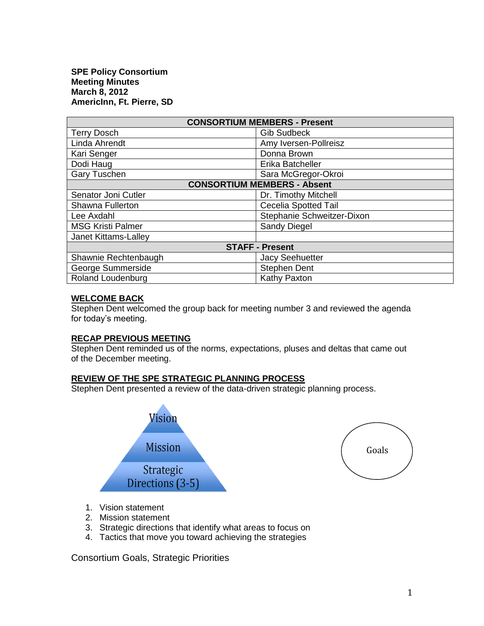**SPE Policy Consortium Meeting Minutes March 8, 2012 AmericInn, Ft. Pierre, SD**

| <b>CONSORTIUM MEMBERS - Present</b> |                             |
|-------------------------------------|-----------------------------|
| <b>Terry Dosch</b>                  | <b>Gib Sudbeck</b>          |
| Linda Ahrendt                       | Amy Iversen-Pollreisz       |
| Kari Senger                         | Donna Brown                 |
| Dodi Haug                           | Erika Batcheller            |
| <b>Gary Tuschen</b>                 | Sara McGregor-Okroi         |
| <b>CONSORTIUM MEMBERS - Absent</b>  |                             |
| Senator Joni Cutler                 | Dr. Timothy Mitchell        |
| Shawna Fullerton                    | <b>Cecelia Spotted Tail</b> |
| Lee Axdahl                          | Stephanie Schweitzer-Dixon  |
| <b>MSG Kristi Palmer</b>            | Sandy Diegel                |
| Janet Kittams-Lalley                |                             |
| <b>STAFF - Present</b>              |                             |
| Shawnie Rechtenbaugh                | <b>Jacy Seehuetter</b>      |
| George Summerside                   | <b>Stephen Dent</b>         |
| <b>Roland Loudenburg</b>            | Kathy Paxton                |

### **WELCOME BACK**

Stephen Dent welcomed the group back for meeting number 3 and reviewed the agenda for today's meeting.

### **RECAP PREVIOUS MEETING**

Stephen Dent reminded us of the norms, expectations, pluses and deltas that came out of the December meeting.

#### **REVIEW OF THE SPE STRATEGIC PLANNING PROCESS**

Stephen Dent presented a review of the data-driven strategic planning process.





- 1. Vision statement
- 2. Mission statement
- 3. Strategic directions that identify what areas to focus on
- 4. Tactics that move you toward achieving the strategies

Consortium Goals, Strategic Priorities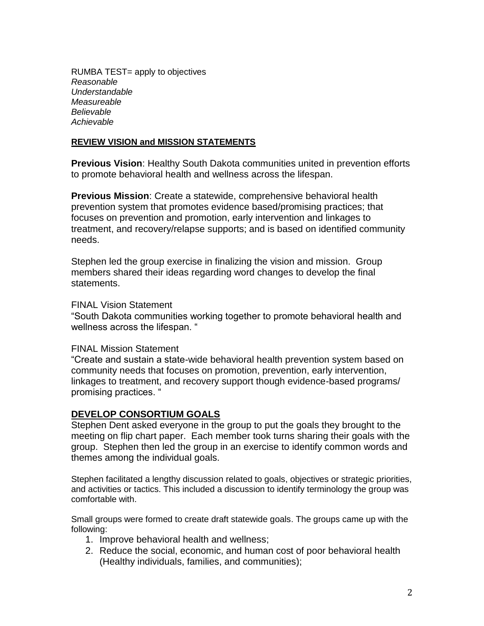RUMBA TEST= apply to objectives *Reasonable Understandable Measureable Believable Achievable*

# **REVIEW VISION and MISSION STATEMENTS**

**Previous Vision**: Healthy South Dakota communities united in prevention efforts to promote behavioral health and wellness across the lifespan.

**Previous Mission**: Create a statewide, comprehensive behavioral health prevention system that promotes evidence based/promising practices; that focuses on prevention and promotion, early intervention and linkages to treatment, and recovery/relapse supports; and is based on identified community needs.

Stephen led the group exercise in finalizing the vision and mission. Group members shared their ideas regarding word changes to develop the final statements.

## FINAL Vision Statement

"South Dakota communities working together to promote behavioral health and wellness across the lifespan. "

### FINAL Mission Statement

"Create and sustain a state-wide behavioral health prevention system based on community needs that focuses on promotion, prevention, early intervention, linkages to treatment, and recovery support though evidence-based programs/ promising practices. "

# **DEVELOP CONSORTIUM GOALS**

Stephen Dent asked everyone in the group to put the goals they brought to the meeting on flip chart paper. Each member took turns sharing their goals with the group. Stephen then led the group in an exercise to identify common words and themes among the individual goals.

Stephen facilitated a lengthy discussion related to goals, objectives or strategic priorities, and activities or tactics. This included a discussion to identify terminology the group was comfortable with.

Small groups were formed to create draft statewide goals. The groups came up with the following:

- 1. Improve behavioral health and wellness;
- 2. Reduce the social, economic, and human cost of poor behavioral health (Healthy individuals, families, and communities);